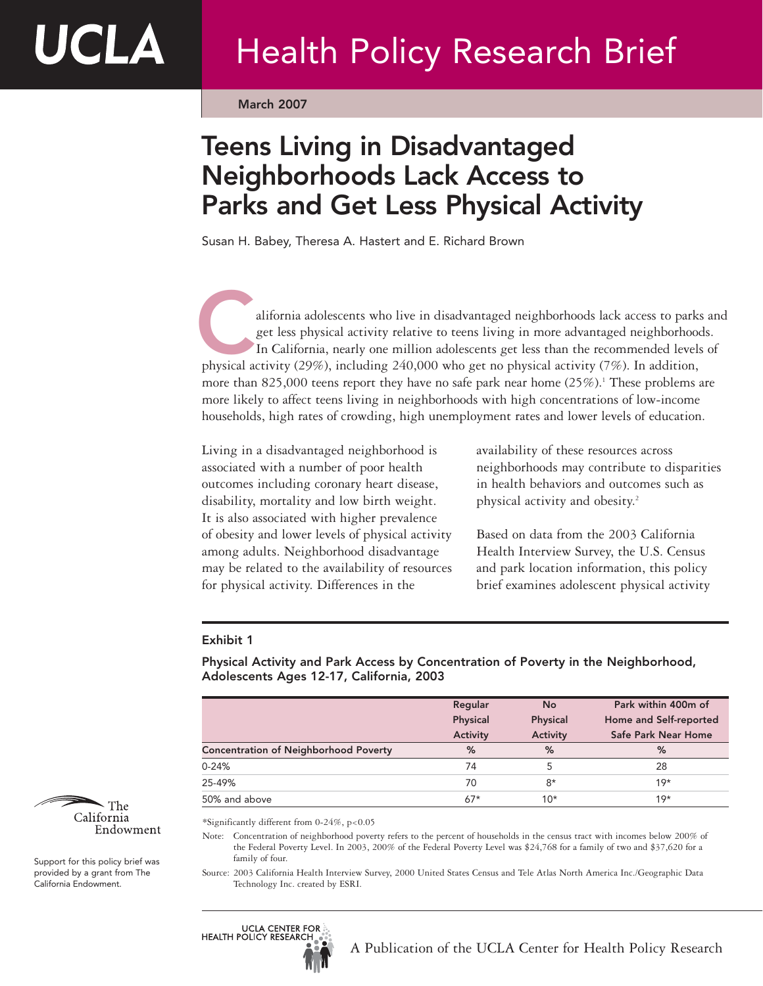March 2007

# Teens Living in Disadvantaged Neighborhoods Lack Access to Parks and Get Less Physical Activity

Susan H. Babey, Theresa A. Hastert and E. Richard Brown

alifornia adolescents who live in disadvantaged neighborhoods lack access to parks and get less physical activity relative to teens living in more advantaged neighborhoods. In California, nearly one million adolescents get less than the recommended levels of alifornia adolescents who live in disadvantaged neighborhoods lack access to park<br>get less physical activity relative to teens living in more advantaged neighborhood<br>In California, nearly one million adolescents get less t more than 825,000 teens report they have no safe park near home  $(25\%)$ .<sup>1</sup> These problems are more likely to affect teens living in neighborhoods with high concentrations of low-income households, high rates of crowding, high unemployment rates and lower levels of education.

Living in a disadvantaged neighborhood is associated with a number of poor health outcomes including coronary heart disease, disability, mortality and low birth weight. It is also associated with higher prevalence of obesity and lower levels of physical activity among adults. Neighborhood disadvantage may be related to the availability of resources for physical activity. Differences in the

availability of these resources across neighborhoods may contribute to disparities in health behaviors and outcomes such as physical activity and obesity.2

Based on data from the 2003 California Health Interview Survey, the U.S. Census and park location information, this policy brief examines adolescent physical activity

### Exhibit 1

Physical Activity and Park Access by Concentration of Poverty in the Neighborhood, Adolescents Ages 12-17, California, 2003

|                                              | Regular  | No       | Park within 400m of    |
|----------------------------------------------|----------|----------|------------------------|
|                                              | Physical | Physical | Home and Self-reported |
|                                              | Activity | Activity | Safe Park Near Home    |
| <b>Concentration of Neighborhood Poverty</b> | %        | %        | $\%$                   |
| $0 - 24%$                                    | 74       |          | 28                     |
| 25-49%                                       | 70       | $8*$     | $19*$                  |
| 50% and above                                | $67*$    | $10*$    | $19*$                  |

\*Significantly different from 0-24%, p<0.05

Note: Concentration of neighborhood poverty refers to the percent of households in the census tract with incomes below 200% of the Federal Poverty Level. In 2003, 200% of the Federal Poverty Level was \$24,768 for a family of two and \$37,620 for a family of four.

Source: 2003 California Health Interview Survey, 2000 United States Census and Tele Atlas North America Inc./Geographic Data Technology Inc. created by ESRI.





UCLA

Support for this policy brief was provided by a grant from The California Endowment.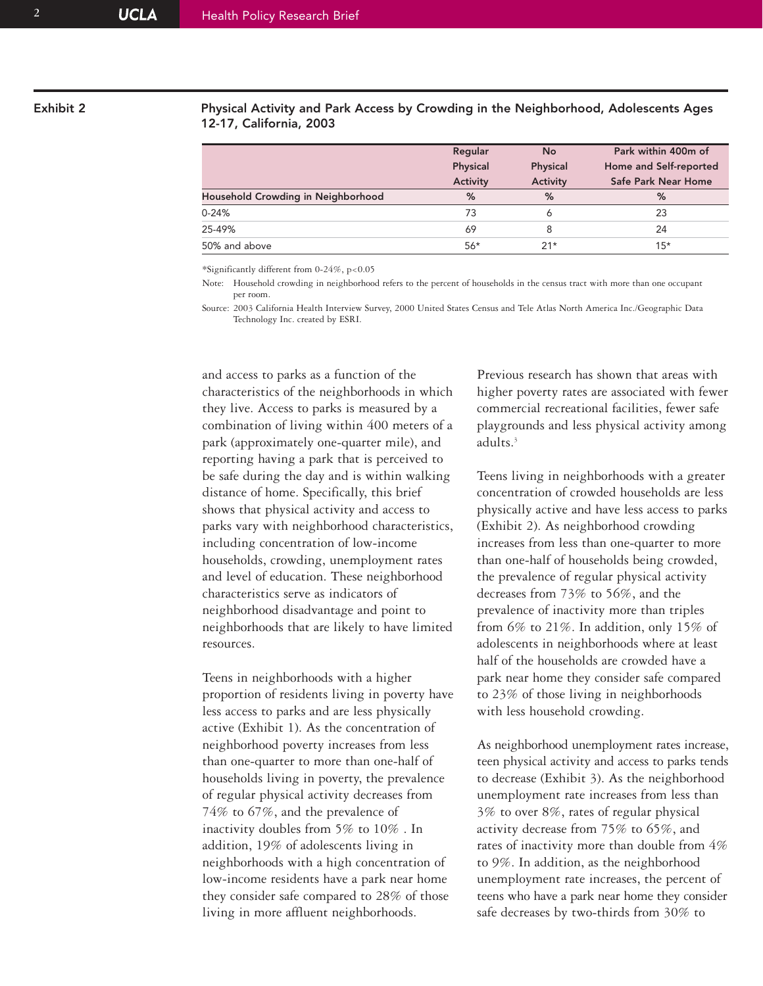### Exhibit 2 Physical Activity and Park Access by Crowding in the Neighborhood, Adolescents Ages 12-17, California, 2003

|                                    | Regular  | No       | Park within 400m of    |
|------------------------------------|----------|----------|------------------------|
|                                    | Physical | Physical | Home and Self-reported |
|                                    | Activity | Activity | Safe Park Near Home    |
| Household Crowding in Neighborhood | %        | %        | $\%$                   |
| $0 - 24%$                          | 73       | o        | 23                     |
| 25-49%                             | 69       | 8        | 24                     |
| 50% and above                      | $56*$    | $21*$    | $15*$                  |
|                                    |          |          |                        |

\*Significantly different from 0-24%, p<0.05

Note: Household crowding in neighborhood refers to the percent of households in the census tract with more than one occupant per room.

Source: 2003 California Health Interview Survey, 2000 United States Census and Tele Atlas North America Inc./Geographic Data Technology Inc. created by ESRI.

and access to parks as a function of the characteristics of the neighborhoods in which they live. Access to parks is measured by a combination of living within 400 meters of a park (approximately one-quarter mile), and reporting having a park that is perceived to be safe during the day and is within walking distance of home. Specifically, this brief shows that physical activity and access to parks vary with neighborhood characteristics, including concentration of low-income households, crowding, unemployment rates and level of education. These neighborhood characteristics serve as indicators of neighborhood disadvantage and point to neighborhoods that are likely to have limited resources.

Teens in neighborhoods with a higher proportion of residents living in poverty have less access to parks and are less physically active (Exhibit 1). As the concentration of neighborhood poverty increases from less than one-quarter to more than one-half of households living in poverty, the prevalence of regular physical activity decreases from 74% to 67%, and the prevalence of inactivity doubles from 5% to 10% . In addition, 19% of adolescents living in neighborhoods with a high concentration of low-income residents have a park near home they consider safe compared to 28% of those living in more affluent neighborhoods.

Previous research has shown that areas with higher poverty rates are associated with fewer commercial recreational facilities, fewer safe playgrounds and less physical activity among adults.3

Teens living in neighborhoods with a greater concentration of crowded households are less physically active and have less access to parks (Exhibit 2). As neighborhood crowding increases from less than one-quarter to more than one-half of households being crowded, the prevalence of regular physical activity decreases from 73% to 56%, and the prevalence of inactivity more than triples from 6% to 21%. In addition, only 15% of adolescents in neighborhoods where at least half of the households are crowded have a park near home they consider safe compared to 23% of those living in neighborhoods with less household crowding.

As neighborhood unemployment rates increase, teen physical activity and access to parks tends to decrease (Exhibit 3). As the neighborhood unemployment rate increases from less than 3% to over 8%, rates of regular physical activity decrease from 75% to 65%, and rates of inactivity more than double from 4% to 9%. In addition, as the neighborhood unemployment rate increases, the percent of teens who have a park near home they consider safe decreases by two-thirds from 30% to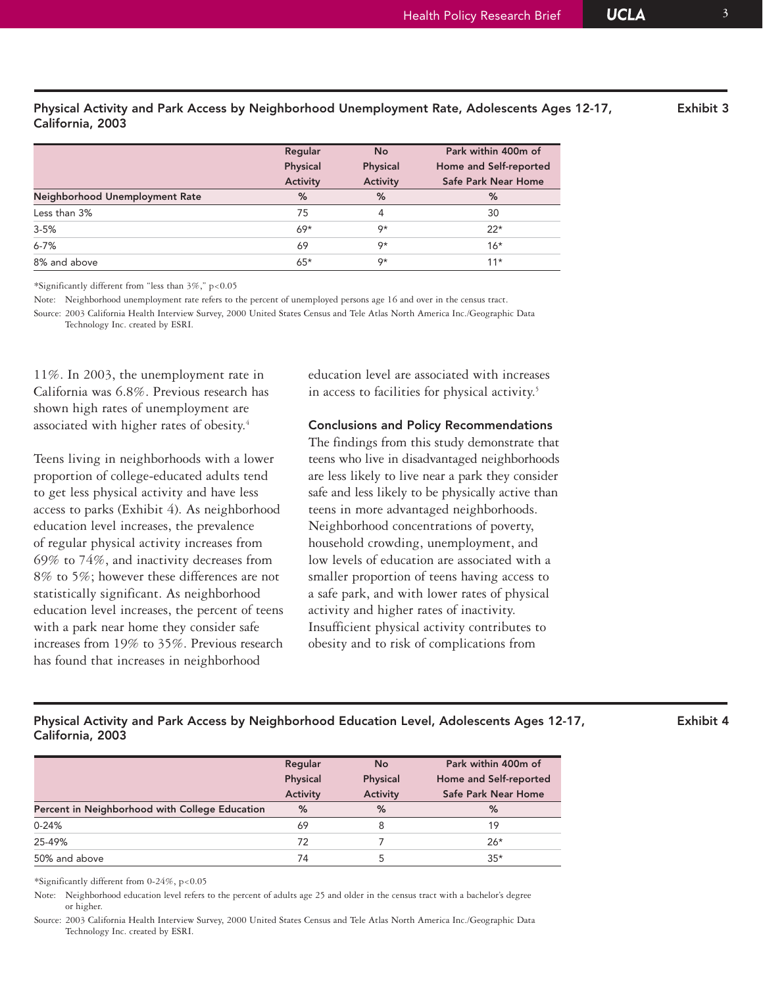| California, 2003               |          |           |                        |  |  |  |
|--------------------------------|----------|-----------|------------------------|--|--|--|
|                                | Regular  | <b>No</b> | Park within 400m of    |  |  |  |
|                                | Physical | Physical  | Home and Self-reported |  |  |  |
|                                | Activity | Activity  | Safe Park Near Home    |  |  |  |
| Neighborhood Unemployment Rate | %        | %         | %                      |  |  |  |
| Less than 3%                   | 75       | 4         | 30                     |  |  |  |
| $3 - 5%$                       | $69*$    | 9*        | $22*$                  |  |  |  |

Physical Activity and Park Access by Neighborhood Unemployment Rate, Adolescents Ages 12-17, Exhibit 3

\*Significantly different from "less than 3%," p<0.05

Note: Neighborhood unemployment rate refers to the percent of unemployed persons age 16 and over in the census tract.

6-7% 69 9\* 16\*  $8\%$  and above  $65*$   $9*$   $9*$  11\*

Source: 2003 California Health Interview Survey, 2000 United States Census and Tele Atlas North America Inc./Geographic Data Technology Inc. created by ESRI.

11%. In 2003, the unemployment rate in California was 6.8%. Previous research has shown high rates of unemployment are associated with higher rates of obesity.4

Teens living in neighborhoods with a lower proportion of college-educated adults tend to get less physical activity and have less access to parks (Exhibit 4). As neighborhood education level increases, the prevalence of regular physical activity increases from 69% to 74%, and inactivity decreases from 8% to 5%; however these differences are not statistically significant. As neighborhood education level increases, the percent of teens with a park near home they consider safe increases from 19% to 35%. Previous research has found that increases in neighborhood

education level are associated with increases in access to facilities for physical activity.<sup>5</sup>

#### Conclusions and Policy Recommendations

The findings from this study demonstrate that teens who live in disadvantaged neighborhoods are less likely to live near a park they consider safe and less likely to be physically active than teens in more advantaged neighborhoods. Neighborhood concentrations of poverty, household crowding, unemployment, and low levels of education are associated with a smaller proportion of teens having access to a safe park, and with lower rates of physical activity and higher rates of inactivity. Insufficient physical activity contributes to obesity and to risk of complications from

#### Physical Activity and Park Access by Neighborhood Education Level, Adolescents Ages 12-17, Exhibit 4 California, 2003

|                                                | Regular  | No              | Park within 400m of    |
|------------------------------------------------|----------|-----------------|------------------------|
|                                                | Physical | Physical        | Home and Self-reported |
|                                                | Activity | <b>Activity</b> | Safe Park Near Home    |
| Percent in Neighborhood with College Education | %        | %               | %                      |
| $0 - 24%$                                      | 69       | 8               | 19                     |
| 25-49%                                         | 72       |                 | $26*$                  |
| 50% and above                                  | 74       | 5               | $35*$                  |

\*Significantly different from 0-24%, p<0.05

Note: Neighborhood education level refers to the percent of adults age 25 and older in the census tract with a bachelor's degree or higher.

Source: 2003 California Health Interview Survey, 2000 United States Census and Tele Atlas North America Inc./Geographic Data Technology Inc. created by ESRI.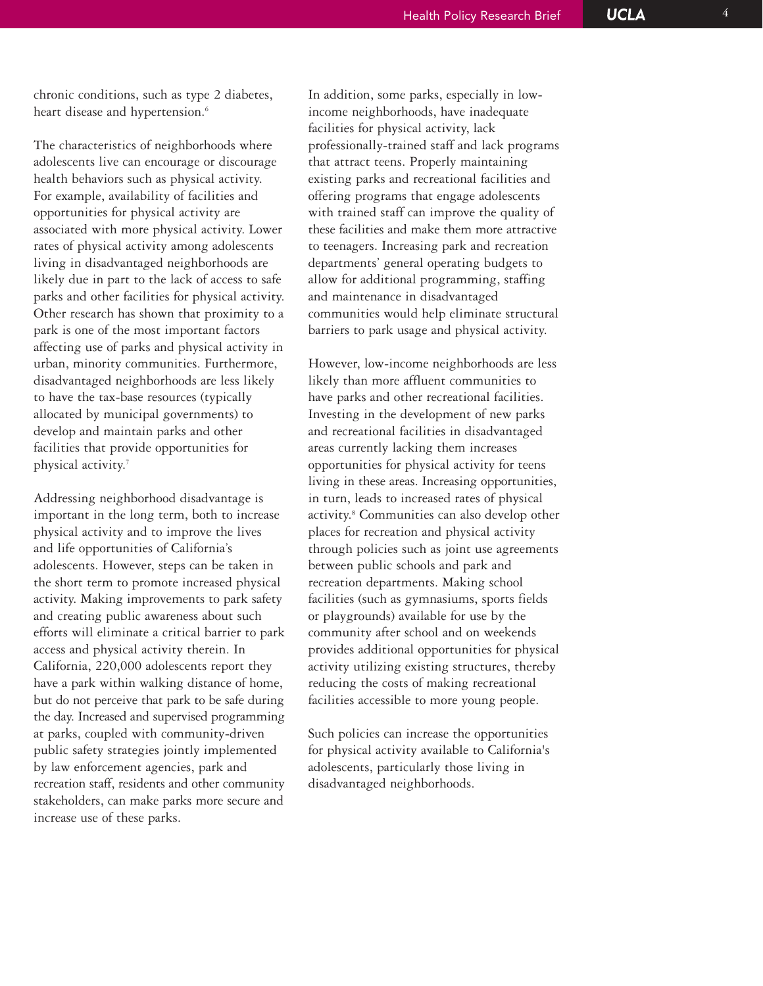chronic conditions, such as type 2 diabetes, heart disease and hypertension.<sup>6</sup>

The characteristics of neighborhoods where adolescents live can encourage or discourage health behaviors such as physical activity. For example, availability of facilities and opportunities for physical activity are associated with more physical activity. Lower rates of physical activity among adolescents living in disadvantaged neighborhoods are likely due in part to the lack of access to safe parks and other facilities for physical activity. Other research has shown that proximity to a park is one of the most important factors affecting use of parks and physical activity in urban, minority communities. Furthermore, disadvantaged neighborhoods are less likely to have the tax-base resources (typically allocated by municipal governments) to develop and maintain parks and other facilities that provide opportunities for physical activity.7

Addressing neighborhood disadvantage is important in the long term, both to increase physical activity and to improve the lives and life opportunities of California's adolescents. However, steps can be taken in the short term to promote increased physical activity. Making improvements to park safety and creating public awareness about such efforts will eliminate a critical barrier to park access and physical activity therein. In California, 220,000 adolescents report they have a park within walking distance of home, but do not perceive that park to be safe during the day. Increased and supervised programming at parks, coupled with community-driven public safety strategies jointly implemented by law enforcement agencies, park and recreation staff, residents and other community stakeholders, can make parks more secure and increase use of these parks.

In addition, some parks, especially in lowincome neighborhoods, have inadequate facilities for physical activity, lack professionally-trained staff and lack programs that attract teens. Properly maintaining existing parks and recreational facilities and offering programs that engage adolescents with trained staff can improve the quality of these facilities and make them more attractive to teenagers. Increasing park and recreation departments' general operating budgets to allow for additional programming, staffing and maintenance in disadvantaged communities would help eliminate structural barriers to park usage and physical activity.

However, low-income neighborhoods are less likely than more affluent communities to have parks and other recreational facilities. Investing in the development of new parks and recreational facilities in disadvantaged areas currently lacking them increases opportunities for physical activity for teens living in these areas. Increasing opportunities, in turn, leads to increased rates of physical activity.8 Communities can also develop other places for recreation and physical activity through policies such as joint use agreements between public schools and park and recreation departments. Making school facilities (such as gymnasiums, sports fields or playgrounds) available for use by the community after school and on weekends provides additional opportunities for physical activity utilizing existing structures, thereby reducing the costs of making recreational facilities accessible to more young people.

Such policies can increase the opportunities for physical activity available to California's adolescents, particularly those living in disadvantaged neighborhoods.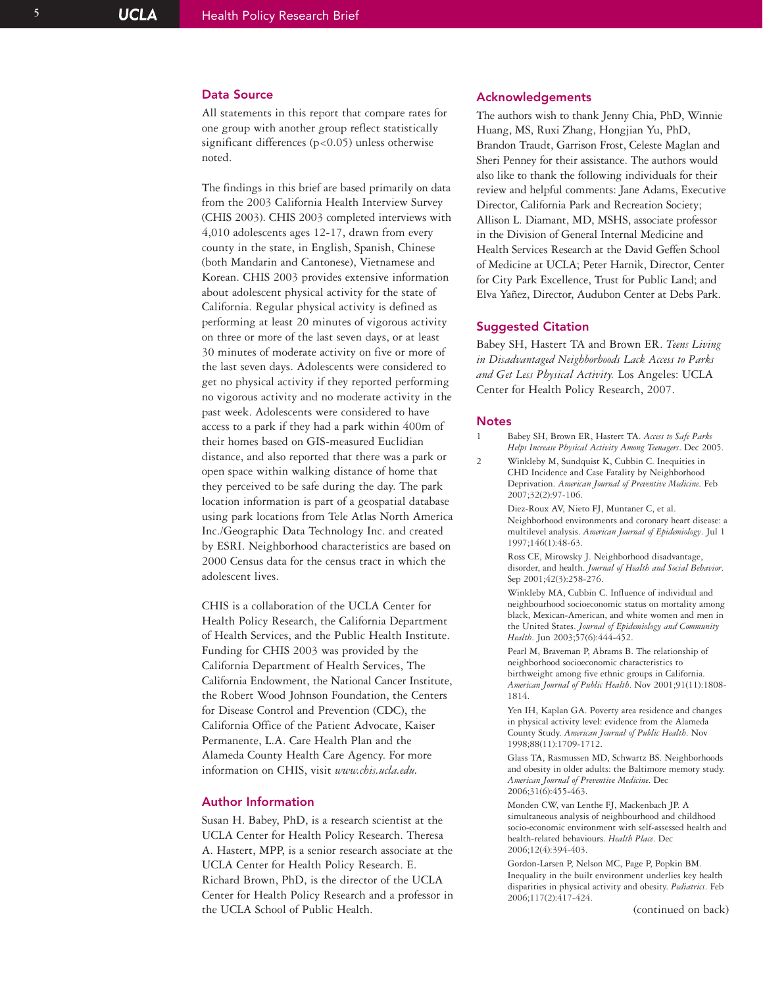#### Data Source

All statements in this report that compare rates for one group with another group reflect statistically significant differences (p<0.05) unless otherwise noted.

The findings in this brief are based primarily on data from the 2003 California Health Interview Survey (CHIS 2003). CHIS 2003 completed interviews with 4,010 adolescents ages 12-17, drawn from every county in the state, in English, Spanish, Chinese (both Mandarin and Cantonese), Vietnamese and Korean. CHIS 2003 provides extensive information about adolescent physical activity for the state of California. Regular physical activity is defined as performing at least 20 minutes of vigorous activity on three or more of the last seven days, or at least 30 minutes of moderate activity on five or more of the last seven days. Adolescents were considered to get no physical activity if they reported performing no vigorous activity and no moderate activity in the past week. Adolescents were considered to have access to a park if they had a park within 400m of their homes based on GIS-measured Euclidian distance, and also reported that there was a park or open space within walking distance of home that they perceived to be safe during the day. The park location information is part of a geospatial database using park locations from Tele Atlas North America Inc./Geographic Data Technology Inc. and created by ESRI. Neighborhood characteristics are based on 2000 Census data for the census tract in which the adolescent lives.

CHIS is a collaboration of the UCLA Center for Health Policy Research, the California Department of Health Services, and the Public Health Institute. Funding for CHIS 2003 was provided by the California Department of Health Services, The California Endowment, the National Cancer Institute, the Robert Wood Johnson Foundation, the Centers for Disease Control and Prevention (CDC), the California Office of the Patient Advocate, Kaiser Permanente, L.A. Care Health Plan and the Alameda County Health Care Agency. For more information on CHIS, visit *www.chis.ucla.edu.*

#### Author Information

Susan H. Babey, PhD, is a research scientist at the UCLA Center for Health Policy Research. Theresa A. Hastert, MPP, is a senior research associate at the UCLA Center for Health Policy Research. E. Richard Brown, PhD, is the director of the UCLA Center for Health Policy Research and a professor in the UCLA School of Public Health.

#### Acknowledgements

The authors wish to thank Jenny Chia, PhD, Winnie Huang, MS, Ruxi Zhang, Hongjian Yu, PhD, Brandon Traudt, Garrison Frost, Celeste Maglan and Sheri Penney for their assistance. The authors would also like to thank the following individuals for their review and helpful comments: Jane Adams, Executive Director, California Park and Recreation Society; Allison L. Diamant, MD, MSHS, associate professor in the Division of General Internal Medicine and Health Services Research at the David Geffen School of Medicine at UCLA; Peter Harnik, Director, Center for City Park Excellence, Trust for Public Land; and Elva Yañez, Director, Audubon Center at Debs Park.

#### Suggested Citation

Babey SH, Hastert TA and Brown ER. *Teens Living in Disadvantaged Neighborhoods Lack Access to Parks and Get Less Physical Activity.* Los Angeles: UCLA Center for Health Policy Research, 2007.

#### **Notes**

- 1 Babey SH, Brown ER, Hastert TA. *Access to Safe Parks Helps Increase Physical Activity Among Teenagers*. Dec 2005.
- 2 Winkleby M, Sundquist K, Cubbin C. Inequities in CHD Incidence and Case Fatality by Neighborhood Deprivation. *American Journal of Preventive Medicine*. Feb 2007;32(2):97-106.

Diez-Roux AV, Nieto FJ, Muntaner C, et al. Neighborhood environments and coronary heart disease: a multilevel analysis. *American Journal of Epidemiology*. Jul 1 1997;146(1):48-63.

Ross CE, Mirowsky J. Neighborhood disadvantage, disorder, and health. *Journal of Health and Social Behavior* . Sep 2001;42(3):258-276.

Winkleby MA, Cubbin C. Influence of individual and neighbourhood socioeconomic status on mortality among black, Mexican-American, and white women and men in the United States. *Journal of Epidemiology and Community Health*. Jun 2003;57(6):444-452.

Pearl M, Braveman P, Abrams B. The relationship of neighborhood socioeconomic characteristics to birthweight among five ethnic groups in California. *American Journal of Public Health*. Nov 2001;91(11):1808- 1814.

Yen IH, Kaplan GA. Poverty area residence and changes in physical activity level: evidence from the Alameda County Study. *American Journal of Public Health*. Nov 1998;88(11):1709-1712.

Glass TA, Rasmussen MD, Schwartz BS. Neighborhoods and obesity in older adults: the Baltimore memory study. *American Journal of Preventive Medicine*. Dec 2006;31(6):455-463.

Monden CW, van Lenthe FJ, Mackenbach JP. A simultaneous analysis of neighbourhood and childhood socio-economic environment with self-assessed health and health-related behaviours. *Health Place*. Dec 2006;12(4):394-403.

Gordon-Larsen P, Nelson MC, Page P, Popkin BM. Inequality in the built environment underlies key health disparities in physical activity and obesity. *Pediatrics*. Feb 2006;117(2):417-424.

(continued on back)